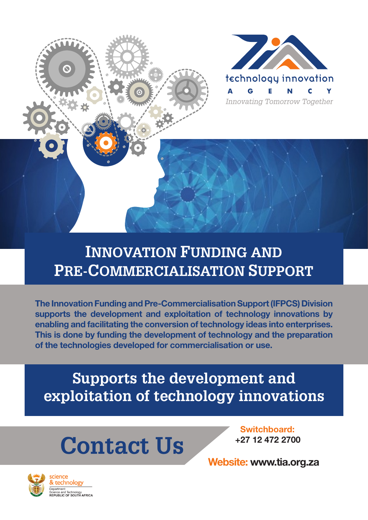

### **INNOVATION FUNDING AND PRE-COMMERCIALISATION SUPPORT**

The Innovation Funding and Pre-Commercialisation Support (IFPCS) Division supports the development and exploitation of technology innovations by enabling and facilitating the conversion of technology ideas into enterprises. This is done by funding the development of technology and the preparation of the technologies developed for commercialisation or use.

**Supports the development and exploitation of technology innovations**

# **Contact Us**

Switchboard: +27 12 472 2700

Website: www.tia.org.za